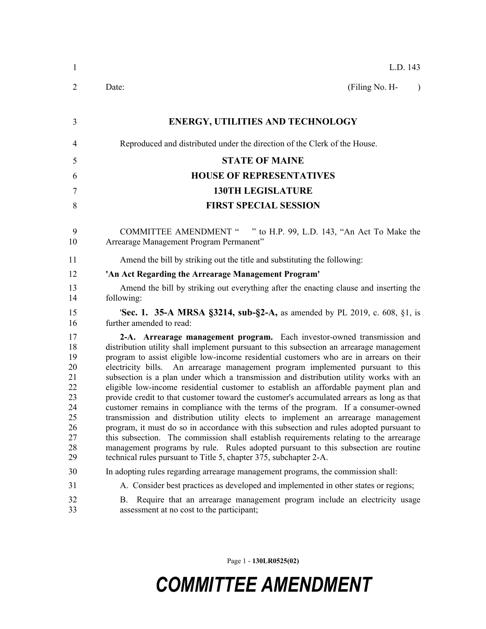| $\mathbf{1}$                                                               | L.D. 143                                                                                                                                                                                                                                                                                                                                                                                                                                                                                                                                                                                                                                                                                                                                                                                                                                                                                                                                                                                                                                                                                                                                                   |
|----------------------------------------------------------------------------|------------------------------------------------------------------------------------------------------------------------------------------------------------------------------------------------------------------------------------------------------------------------------------------------------------------------------------------------------------------------------------------------------------------------------------------------------------------------------------------------------------------------------------------------------------------------------------------------------------------------------------------------------------------------------------------------------------------------------------------------------------------------------------------------------------------------------------------------------------------------------------------------------------------------------------------------------------------------------------------------------------------------------------------------------------------------------------------------------------------------------------------------------------|
| 2                                                                          | (Filing No. H-<br>Date:<br>$\lambda$                                                                                                                                                                                                                                                                                                                                                                                                                                                                                                                                                                                                                                                                                                                                                                                                                                                                                                                                                                                                                                                                                                                       |
| 3                                                                          | <b>ENERGY, UTILITIES AND TECHNOLOGY</b>                                                                                                                                                                                                                                                                                                                                                                                                                                                                                                                                                                                                                                                                                                                                                                                                                                                                                                                                                                                                                                                                                                                    |
| 4                                                                          | Reproduced and distributed under the direction of the Clerk of the House.                                                                                                                                                                                                                                                                                                                                                                                                                                                                                                                                                                                                                                                                                                                                                                                                                                                                                                                                                                                                                                                                                  |
| 5                                                                          | <b>STATE OF MAINE</b>                                                                                                                                                                                                                                                                                                                                                                                                                                                                                                                                                                                                                                                                                                                                                                                                                                                                                                                                                                                                                                                                                                                                      |
| 6                                                                          | <b>HOUSE OF REPRESENTATIVES</b>                                                                                                                                                                                                                                                                                                                                                                                                                                                                                                                                                                                                                                                                                                                                                                                                                                                                                                                                                                                                                                                                                                                            |
| 7                                                                          | <b>130TH LEGISLATURE</b>                                                                                                                                                                                                                                                                                                                                                                                                                                                                                                                                                                                                                                                                                                                                                                                                                                                                                                                                                                                                                                                                                                                                   |
| 8                                                                          | <b>FIRST SPECIAL SESSION</b>                                                                                                                                                                                                                                                                                                                                                                                                                                                                                                                                                                                                                                                                                                                                                                                                                                                                                                                                                                                                                                                                                                                               |
| 9<br>10                                                                    | <b>COMMITTEE AMENDMENT "</b><br>" to H.P. 99, L.D. 143, "An Act To Make the<br>Arrearage Management Program Permanent"                                                                                                                                                                                                                                                                                                                                                                                                                                                                                                                                                                                                                                                                                                                                                                                                                                                                                                                                                                                                                                     |
| 11                                                                         | Amend the bill by striking out the title and substituting the following:                                                                                                                                                                                                                                                                                                                                                                                                                                                                                                                                                                                                                                                                                                                                                                                                                                                                                                                                                                                                                                                                                   |
| 12                                                                         | 'An Act Regarding the Arrearage Management Program'                                                                                                                                                                                                                                                                                                                                                                                                                                                                                                                                                                                                                                                                                                                                                                                                                                                                                                                                                                                                                                                                                                        |
| 13<br>14                                                                   | Amend the bill by striking out everything after the enacting clause and inserting the<br>following:                                                                                                                                                                                                                                                                                                                                                                                                                                                                                                                                                                                                                                                                                                                                                                                                                                                                                                                                                                                                                                                        |
| 15<br>16                                                                   | <b>'Sec. 1. 35-A MRSA §3214, sub-§2-A, as amended by PL 2019, c. 608, §1, is</b><br>further amended to read:                                                                                                                                                                                                                                                                                                                                                                                                                                                                                                                                                                                                                                                                                                                                                                                                                                                                                                                                                                                                                                               |
| 17<br>18<br>19<br>20<br>21<br>22<br>23<br>24<br>25<br>26<br>27<br>28<br>29 | 2-A. Arrearage management program. Each investor-owned transmission and<br>distribution utility shall implement pursuant to this subsection an arrearage management<br>program to assist eligible low-income residential customers who are in arrears on their<br>electricity bills. An arrearage management program implemented pursuant to this<br>subsection is a plan under which a transmission and distribution utility works with an<br>eligible low-income residential customer to establish an affordable payment plan and<br>provide credit to that customer toward the customer's accumulated arrears as long as that<br>customer remains in compliance with the terms of the program. If a consumer-owned<br>transmission and distribution utility elects to implement an arrearage management<br>program, it must do so in accordance with this subsection and rules adopted pursuant to<br>this subsection. The commission shall establish requirements relating to the arrearage<br>management programs by rule. Rules adopted pursuant to this subsection are routine<br>technical rules pursuant to Title 5, chapter 375, subchapter 2-A. |
| 30                                                                         | In adopting rules regarding arrearage management programs, the commission shall:                                                                                                                                                                                                                                                                                                                                                                                                                                                                                                                                                                                                                                                                                                                                                                                                                                                                                                                                                                                                                                                                           |
| 31                                                                         | A. Consider best practices as developed and implemented in other states or regions;                                                                                                                                                                                                                                                                                                                                                                                                                                                                                                                                                                                                                                                                                                                                                                                                                                                                                                                                                                                                                                                                        |
| 32<br>33                                                                   | Require that an arrearage management program include an electricity usage<br>В.<br>assessment at no cost to the participant;                                                                                                                                                                                                                                                                                                                                                                                                                                                                                                                                                                                                                                                                                                                                                                                                                                                                                                                                                                                                                               |

Page 1 - **130LR0525(02)**

## *COMMITTEE AMENDMENT*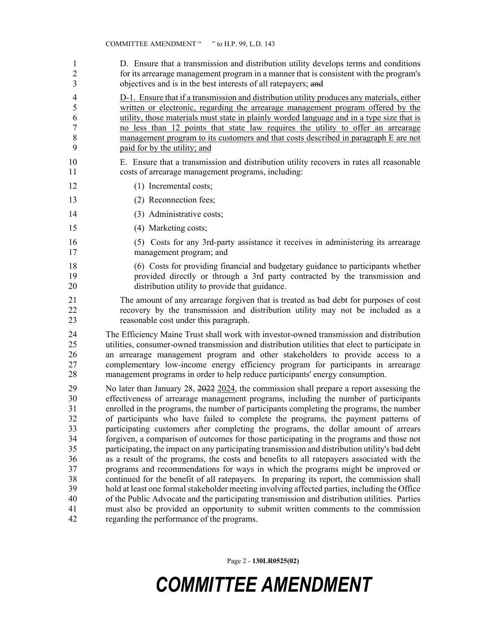1 D. Ensure that a transmission and distribution utility develops terms and conditions 2 for its arrearage management program in a manner that is consistent with the program's 3 objectives and is in the best interests of all ratepayers; and

4 D-1. Ensure that if a transmission and distribution utility produces any materials, either 5 written or electronic, regarding the arrearage management program offered by the 6 utility, those materials must state in plainly worded language and in a type size that is 7 no less than 12 points that state law requires the utility to offer an arrearage 8 management program to its customers and that costs described in paragraph E are not 9 paid for by the utility; and

10 E. Ensure that a transmission and distribution utility recovers in rates all reasonable 11 costs of arrearage management programs, including:

- 12 (1) Incremental costs;
- 13 (2) Reconnection fees;
- 14 (3) Administrative costs;
- 15 (4) Marketing costs;
- 16 (5) Costs for any 3rd-party assistance it receives in administering its arrearage 17 management program; and
- 18 (6) Costs for providing financial and budgetary guidance to participants whether 19 provided directly or through a 3rd party contracted by the transmission and 20 distribution utility to provide that guidance.
- 21 The amount of any arrearage forgiven that is treated as bad debt for purposes of cost 22 recovery by the transmission and distribution utility may not be included as a 23 reasonable cost under this paragraph.

24 The Efficiency Maine Trust shall work with investor-owned transmission and distribution 25 utilities, consumer-owned transmission and distribution utilities that elect to participate in 26 an arrearage management program and other stakeholders to provide access to a 27 complementary low-income energy efficiency program for participants in arrearage 28 management programs in order to help reduce participants' energy consumption.

29 No later than January 28, 2022 2024, the commission shall prepare a report assessing the 30 effectiveness of arrearage management programs, including the number of participants 31 enrolled in the programs, the number of participants completing the programs, the number 32 of participants who have failed to complete the programs, the payment patterns of 33 participating customers after completing the programs, the dollar amount of arrears 34 forgiven, a comparison of outcomes for those participating in the programs and those not<br>35 narticipating the impact on any participating transmission and distribution utility's bad debt participating, the impact on any participating transmission and distribution utility's bad debt 36 as a result of the programs, the costs and benefits to all ratepayers associated with the 37 programs and recommendations for ways in which the programs might be improved or 38 continued for the benefit of all ratepayers. In preparing its report, the commission shall 39 hold at least one formal stakeholder meeting involving affected parties, including the Office 40 of the Public Advocate and the participating transmission and distribution utilities. Parties 41 must also be provided an opportunity to submit written comments to the commission 42 regarding the performance of the programs.

Page 2 - **130LR0525(02)**

## *COMMITTEE AMENDMENT*